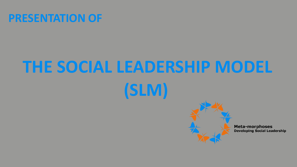# **PRESENTATION OF**

# **THE SOCIAL LEADERSHIP MODEL (SLM)**



**Meta-morphoses Developing Social Leadership**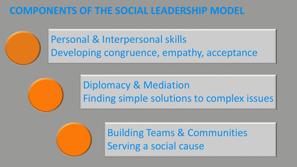# **COMPONENTS OF THE SOCIAL LEADERSHIP MODEL**

Personal & Interpersonal skills Developing congruence, empathy, acceptance

> Diplomacy & Mediation Finding simple solutions to complex issues



Building Teams & Communities Serving a social cause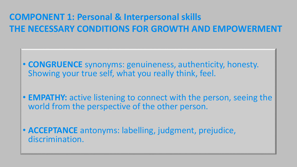# **COMPONENT 1: Personal & Interpersonal skills THE NECESSARY CONDITIONS FOR GROWTH AND EMPOWERN**

- **CONGRUENCE** synonyms: genuineness, authenticity, honesty. Showing your true self, what you really think, feel.
- **EMPATHY:** active listening to connect with the person, seeing the world from the perspective of the other person.
- **ACCEPTANCE** antonyms: labelling, judgment, prejudice, discrimination.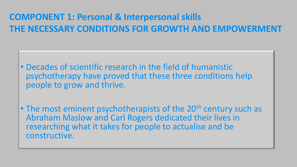# **COMPONENT 1: Personal & Interpersonal skills THE NECESSARY CONDITIONS FOR GROWTH AND EMPOWERMENT**

- Decades of scientific research in the field of humanistic psychotherapy have proved that these three conditions help people to grow and thrive.
- The most eminent psychotherapists of the 20<sup>th</sup> century such as Abraham Maslow and Carl Rogers dedicated their lives in researching what it takes for people to actualise and be constructive.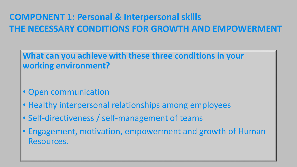# **COMPONENT 1: Personal & Interpersonal skills THE NECESSARY CONDITIONS FOR GROWTH AND EMPOWERMENT**

**What can you achieve with these three conditions in your working environment?**

- Open communication
- Healthy interpersonal relationships among employees
- Self-directiveness / self-management of teams
- Engagement, motivation, empowerment and growth of Human Resources.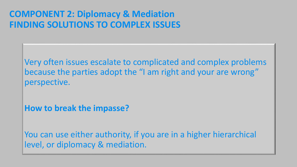#### **COMPONENT 2: Diplomacy & Mediation FINDING SOLUTIONS TO COMPLEX ISSUES**

Very often issues escalate to complicated and complex problems because the parties adopt the "I am right and your are wrong" perspective.

**How to break the impasse?**

You can use either authority, if you are in a higher hierarchical level, or diplomacy & mediation.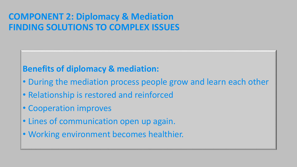#### **COMPONENT 2: Diplomacy & Mediation FINDING SOLUTIONS TO COMPLEX ISSUES**

#### **Benefits of diplomacy & mediation:**

- During the mediation process people grow and learn each other
- Relationship is restored and reinforced
- Cooperation improves
- Lines of communication open up again.
- Working environment becomes healthier.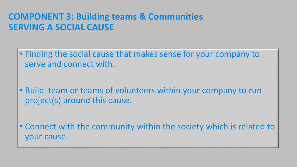#### **COMPONENT 3: Building teams & Communities SERVING A SOCIAL CAUSE**

• Finding the social cause that makes sense for your company to serve and connect with.

- Build team or teams of volunteers within your company to run project(s) around this cause.
- Connect with the community within the society which is related to your cause.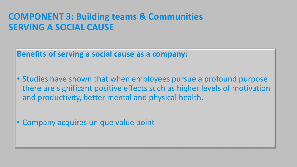#### **COMPONENT 3: Building teams & Communities SERVING A SOCIAL CAUSE**

**Benefits of serving a social cause as a company:**

• Studies have shown that when employees pursue a profound purpose there are significant positive effects such as higher levels of motivation and productivity, better mental and physical health.

• Company acquires unique value point